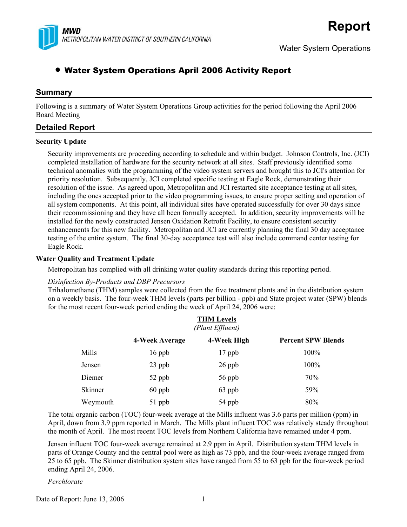

# • Water System Operations April 2006 Activity Report

### **Summary**

Following is a summary of Water System Operations Group activities for the period following the April 2006 Board Meeting

## **Detailed Report**

#### **Security Update**

Security improvements are proceeding according to schedule and within budget. Johnson Controls, Inc. (JCI) completed installation of hardware for the security network at all sites. Staff previously identified some technical anomalies with the programming of the video system servers and brought this to JCI's attention for priority resolution. Subsequently, JCI completed specific testing at Eagle Rock, demonstrating their resolution of the issue. As agreed upon, Metropolitan and JCI restarted site acceptance testing at all sites, including the ones accepted prior to the video programming issues, to ensure proper setting and operation of all system components. At this point, all individual sites have operated successfully for over 30 days since their recommissioning and they have all been formally accepted. In addition, security improvements will be installed for the newly constructed Jensen Oxidation Retrofit Facility, to ensure consistent security enhancements for this new facility. Metropolitan and JCI are currently planning the final 30 day acceptance testing of the entire system. The final 30-day acceptance test will also include command center testing for Eagle Rock.

#### **Water Quality and Treatment Update**

Metropolitan has complied with all drinking water quality standards during this reporting period.

#### *Disinfection By-Products and DBP Precursors*

Trihalomethane (THM) samples were collected from the five treatment plants and in the distribution system on a weekly basis. The four-week THM levels (parts per billion - ppb) and State project water (SPW) blends for the most recent four-week period ending the week of April 24, 2006 were:

|          | <b>THM Levels</b><br>(Plant Effluent) |             |                           |  |  |
|----------|---------------------------------------|-------------|---------------------------|--|--|
|          | 4-Week Average                        | 4-Week High | <b>Percent SPW Blends</b> |  |  |
| Mills    | $16$ ppb                              | $17$ ppb    | 100%                      |  |  |
| Jensen   | $23$ ppb                              | $26$ ppb    | 100%                      |  |  |
| Diemer   | 52 ppb                                | 56 ppb      | 70%                       |  |  |
| Skinner  | $60$ ppb                              | 63 ppb      | 59%                       |  |  |
| Weymouth | 51 ppb                                | 54 ppb      | 80%                       |  |  |

The total organic carbon (TOC) four-week average at the Mills influent was 3.6 parts per million (ppm) in April, down from 3.9 ppm reported in March. The Mills plant influent TOC was relatively steady throughout the month of April. The most recent TOC levels from Northern California have remained under 4 ppm.

Jensen influent TOC four-week average remained at 2.9 ppm in April. Distribution system THM levels in parts of Orange County and the central pool were as high as 73 ppb, and the four-week average ranged from 25 to 65 ppb. The Skinner distribution system sites have ranged from 55 to 63 ppb for the four-week period ending April 24, 2006.

#### *Perchlorate*

Date of Report: June 13, 2006 1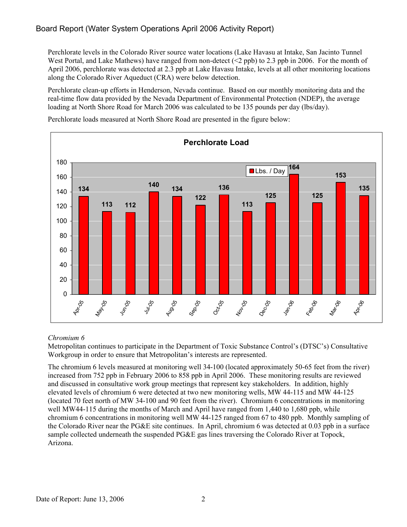## Board Report (Water System Operations April 2006 Activity Report)

Perchlorate levels in the Colorado River source water locations (Lake Havasu at Intake, San Jacinto Tunnel West Portal, and Lake Mathews) have ranged from non-detect (<2 ppb) to 2.3 ppb in 2006. For the month of April 2006, perchlorate was detected at 2.3 ppb at Lake Havasu Intake, levels at all other monitoring locations along the Colorado River Aqueduct (CRA) were below detection.

Perchlorate clean-up efforts in Henderson, Nevada continue. Based on our monthly monitoring data and the real-time flow data provided by the Nevada Department of Environmental Protection (NDEP), the average loading at North Shore Road for March 2006 was calculated to be 135 pounds per day (lbs/day).



Perchlorate loads measured at North Shore Road are presented in the figure below:

#### *Chromium 6*

Metropolitan continues to participate in the Department of Toxic Substance Control's (DTSC's) Consultative Workgroup in order to ensure that Metropolitan's interests are represented.

The chromium 6 levels measured at monitoring well 34-100 (located approximately 50-65 feet from the river) increased from 752 ppb in February 2006 to 858 ppb in April 2006. These monitoring results are reviewed and discussed in consultative work group meetings that represent key stakeholders. In addition, highly elevated levels of chromium 6 were detected at two new monitoring wells, MW 44-115 and MW 44-125 (located 70 feet north of MW 34-100 and 90 feet from the river). Chromium 6 concentrations in monitoring well MW44-115 during the months of March and April have ranged from 1,440 to 1,680 ppb, while chromium 6 concentrations in monitoring well MW 44-125 ranged from 67 to 480 ppb. Monthly sampling of the Colorado River near the PG&E site continues. In April, chromium 6 was detected at 0.03 ppb in a surface sample collected underneath the suspended PG&E gas lines traversing the Colorado River at Topock, Arizona.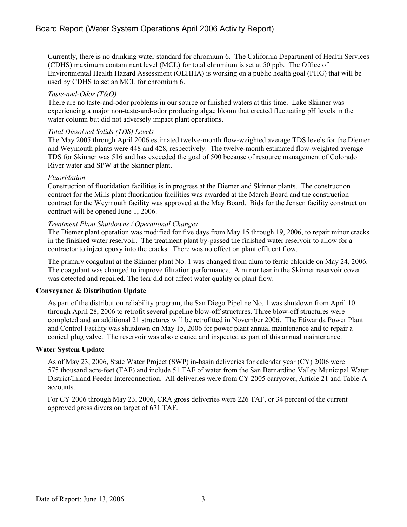Currently, there is no drinking water standard for chromium 6. The California Department of Health Services (CDHS) maximum contaminant level (MCL) for total chromium is set at 50 ppb. The Office of Environmental Health Hazard Assessment (OEHHA) is working on a public health goal (PHG) that will be used by CDHS to set an MCL for chromium 6.

#### *Taste-and-Odor (T&O)*

There are no taste-and-odor problems in our source or finished waters at this time. Lake Skinner was experiencing a major non-taste-and-odor producing algae bloom that created fluctuating pH levels in the water column but did not adversely impact plant operations.

#### *Total Dissolved Solids (TDS) Levels*

The May 2005 through April 2006 estimated twelve-month flow-weighted average TDS levels for the Diemer and Weymouth plants were 448 and 428, respectively. The twelve-month estimated flow-weighted average TDS for Skinner was 516 and has exceeded the goal of 500 because of resource management of Colorado River water and SPW at the Skinner plant.

#### *Fluoridation*

Construction of fluoridation facilities is in progress at the Diemer and Skinner plants. The construction contract for the Mills plant fluoridation facilities was awarded at the March Board and the construction contract for the Weymouth facility was approved at the May Board. Bids for the Jensen facility construction contract will be opened June 1, 2006.

#### *Treatment Plant Shutdowns / Operational Changes*

The Diemer plant operation was modified for five days from May 15 through 19, 2006, to repair minor cracks in the finished water reservoir. The treatment plant by-passed the finished water reservoir to allow for a contractor to inject epoxy into the cracks. There was no effect on plant effluent flow.

The primary coagulant at the Skinner plant No. 1 was changed from alum to ferric chloride on May 24, 2006. The coagulant was changed to improve filtration performance. A minor tear in the Skinner reservoir cover was detected and repaired. The tear did not affect water quality or plant flow.

#### **Conveyance & Distribution Update**

As part of the distribution reliability program, the San Diego Pipeline No. 1 was shutdown from April 10 through April 28, 2006 to retrofit several pipeline blow-off structures. Three blow-off structures were completed and an additional 21 structures will be retrofitted in November 2006. The Etiwanda Power Plant and Control Facility was shutdown on May 15, 2006 for power plant annual maintenance and to repair a conical plug valve. The reservoir was also cleaned and inspected as part of this annual maintenance.

#### **Water System Update**

As of May 23, 2006, State Water Project (SWP) in-basin deliveries for calendar year (CY) 2006 were 575 thousand acre-feet (TAF) and include 51 TAF of water from the San Bernardino Valley Municipal Water District/Inland Feeder Interconnection. All deliveries were from CY 2005 carryover, Article 21 and Table-A accounts.

For CY 2006 through May 23, 2006, CRA gross deliveries were 226 TAF, or 34 percent of the current approved gross diversion target of 671 TAF.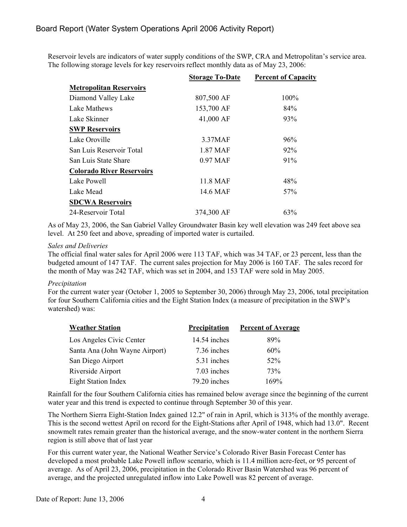## Board Report (Water System Operations April 2006 Activity Report)

Reservoir levels are indicators of water supply conditions of the SWP, CRA and Metropolitan's service area. The following storage levels for key reservoirs reflect monthly data as of May 23, 2006:

|                                  | <b>Storage To-Date</b> | <b>Percent of Capacity</b> |
|----------------------------------|------------------------|----------------------------|
| <b>Metropolitan Reservoirs</b>   |                        |                            |
| Diamond Valley Lake              | 807,500 AF             | 100%                       |
| Lake Mathews                     | 153,700 AF             | 84%                        |
| Lake Skinner                     | 41,000 AF              | 93%                        |
| <b>SWP Reservoirs</b>            |                        |                            |
| Lake Oroville                    | 3.37MAF                | 96%                        |
| San Luis Reservoir Total         | 1.87 MAF               | $92\%$                     |
| San Luis State Share             | 0.97 MAF               | 91%                        |
| <b>Colorado River Reservoirs</b> |                        |                            |
| Lake Powell                      | 11.8 MAF               | 48%                        |
| Lake Mead                        | 14.6 MAF               | 57 <sub>%</sub>            |
| <b>SDCWA Reservoirs</b>          |                        |                            |
| 24-Reservoir Total               | 374,300 AF             | 63%                        |

As of May 23, 2006, the San Gabriel Valley Groundwater Basin key well elevation was 249 feet above sea level. At 250 feet and above, spreading of imported water is curtailed.

#### *Sales and Deliveries*

The official final water sales for April 2006 were 113 TAF, which was 34 TAF, or 23 percent, less than the budgeted amount of 147 TAF. The current sales projection for May 2006 is 160 TAF. The sales record for the month of May was 242 TAF, which was set in 2004, and 153 TAF were sold in May 2005.

#### *Precipitation*

For the current water year (October 1, 2005 to September 30, 2006) through May 23, 2006, total precipitation for four Southern California cities and the Eight Station Index (a measure of precipitation in the SWP's watershed) was:

| <b>Weather Station</b>         | Precipitation | <b>Percent of Average</b> |
|--------------------------------|---------------|---------------------------|
| Los Angeles Civic Center       | 14.54 inches  | 89%                       |
| Santa Ana (John Wayne Airport) | 7.36 inches   | 60%                       |
| San Diego Airport              | 5.31 inches   | $52\%$                    |
| Riverside Airport              | 7.03 inches   | 73%                       |
| <b>Eight Station Index</b>     | 79.20 inches  | 169%                      |

Rainfall for the four Southern California cities has remained below average since the beginning of the current water year and this trend is expected to continue through September 30 of this year.

The Northern Sierra Eight-Station Index gained 12.2" of rain in April, which is 313% of the monthly average. This is the second wettest April on record for the Eight-Stations after April of 1948, which had 13.0". Recent snowmelt rates remain greater than the historical average, and the snow-water content in the northern Sierra region is still above that of last year

For this current water year, the National Weather Service's Colorado River Basin Forecast Center has developed a most probable Lake Powell inflow scenario, which is 11.4 million acre-feet, or 95 percent of average. As of April 23, 2006, precipitation in the Colorado River Basin Watershed was 96 percent of average, and the projected unregulated inflow into Lake Powell was 82 percent of average.